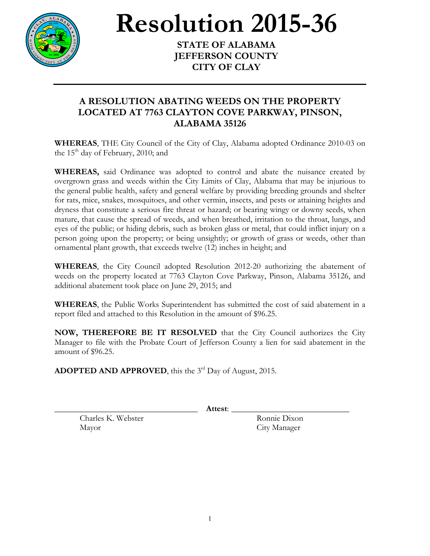

## **Resolution 2015-36**

**JEFFERSON COUNTY CITY OF CLAY**

## **A RESOLUTION ABATING WEEDS ON THE PROPERTY LOCATED AT 7763 CLAYTON COVE PARKWAY, PINSON, ALABAMA 35126**

**WHEREAS**, THE City Council of the City of Clay, Alabama adopted Ordinance 2010-03 on the  $15<sup>th</sup>$  day of February, 2010; and

**WHEREAS,** said Ordinance was adopted to control and abate the nuisance created by overgrown grass and weeds within the City Limits of Clay, Alabama that may be injurious to the general public health, safety and general welfare by providing breeding grounds and shelter for rats, mice, snakes, mosquitoes, and other vermin, insects, and pests or attaining heights and dryness that constitute a serious fire threat or hazard; or bearing wingy or downy seeds, when mature, that cause the spread of weeds, and when breathed, irritation to the throat, lungs, and eyes of the public; or hiding debris, such as broken glass or metal, that could inflict injury on a person going upon the property; or being unsightly; or growth of grass or weeds, other than ornamental plant growth, that exceeds twelve (12) inches in height; and

**WHEREAS**, the City Council adopted Resolution 2012-20 authorizing the abatement of weeds on the property located at 7763 Clayton Cove Parkway, Pinson, Alabama 35126, and additional abatement took place on June 29, 2015; and

**WHEREAS**, the Public Works Superintendent has submitted the cost of said abatement in a report filed and attached to this Resolution in the amount of \$96.25.

**NOW, THEREFORE BE IT RESOLVED** that the City Council authorizes the City Manager to file with the Probate Court of Jefferson County a lien for said abatement in the amount of \$96.25.

**ADOPTED AND APPROVED**, this the 3<sup>rd</sup> Day of August, 2015.

\_\_\_\_\_\_\_\_\_\_\_\_\_\_\_\_\_\_\_\_\_\_\_\_\_\_\_\_\_\_\_\_\_\_ **Attest**: \_\_\_\_\_\_\_\_\_\_\_\_\_\_\_\_\_\_\_\_\_\_\_\_\_\_\_\_

Charles K. Webster Ronnie Dixon Mayor City Manager